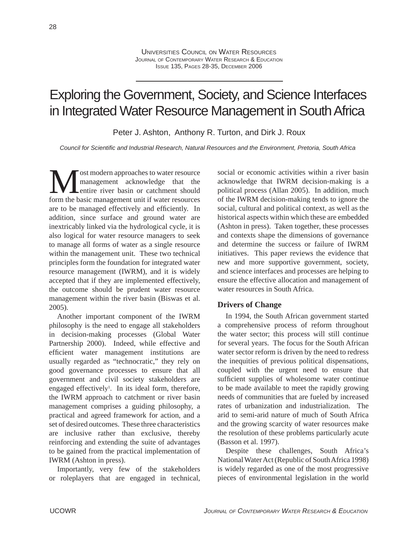# Exploring the Government, Society, and Science Interfaces in Integrated Water Resource Management in South Africa

Peter J. Ashton, Anthony R. Turton, and Dirk J. Roux

 *Council for Scientifi c and Industrial Research, Natural Resources and the Environment, Pretoria, South Africa*

ost modern approaches to water resource management acknowledge that the entire river basin or catchment should form the basic management unit if water resources are to be managed effectively and efficiently. In addition, since surface and ground water are inextricably linked via the hydrological cycle, it is also logical for water resource managers to seek to manage all forms of water as a single resource within the management unit. These two technical principles form the foundation for integrated water resource management (IWRM), and it is widely accepted that if they are implemented effectively, the outcome should be prudent water resource management within the river basin (Biswas et al. 2005).

Another important component of the IWRM philosophy is the need to engage all stakeholders in decision-making processes (Global Water Partnership 2000). Indeed, while effective and efficient water management institutions are usually regarded as "technocratic," they rely on good governance processes to ensure that all government and civil society stakeholders are engaged effectively<sup>1</sup>. In its ideal form, therefore, the IWRM approach to catchment or river basin management comprises a guiding philosophy, a practical and agreed framework for action, and a set of desired outcomes. These three characteristics are inclusive rather than exclusive, thereby reinforcing and extending the suite of advantages to be gained from the practical implementation of IWRM (Ashton in press).

Importantly, very few of the stakeholders or roleplayers that are engaged in technical,

social or economic activities within a river basin acknowledge that IWRM decision-making is a political process (Allan 2005). In addition, much of the IWRM decision-making tends to ignore the social, cultural and political context, as well as the historical aspects within which these are embedded (Ashton in press). Taken together, these processes and contexts shape the dimensions of governance and determine the success or failure of IWRM initiatives. This paper reviews the evidence that new and more supportive government, society, and science interfaces and processes are helping to ensure the effective allocation and management of water resources in South Africa.

#### **Drivers of Change**

In 1994, the South African government started a comprehensive process of reform throughout the water sector; this process will still continue for several years. The focus for the South African water sector reform is driven by the need to redress the inequities of previous political dispensations, coupled with the urgent need to ensure that sufficient supplies of wholesome water continue to be made available to meet the rapidly growing needs of communities that are fueled by increased rates of urbanization and industrialization. The arid to semi-arid nature of much of South Africa and the growing scarcity of water resources make the resolution of these problems particularly acute (Basson et al. 1997).

Despite these challenges, South Africa's National Water Act (Republic of South Africa 1998) is widely regarded as one of the most progressive pieces of environmental legislation in the world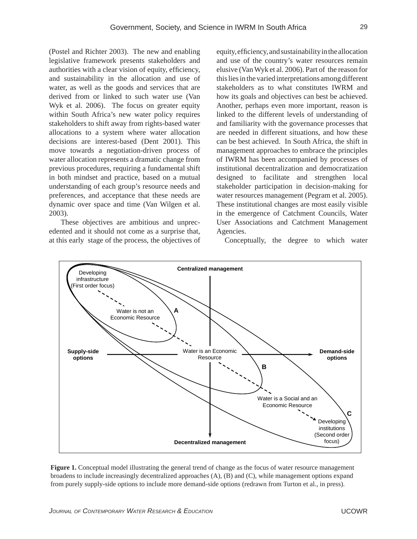(Postel and Richter 2003). The new and enabling legislative framework presents stakeholders and authorities with a clear vision of equity, efficiency, and sustainability in the allocation and use of water, as well as the goods and services that are derived from or linked to such water use (Van Wyk et al. 2006). The focus on greater equity within South Africa's new water policy requires stakeholders to shift away from rights-based water allocations to a system where water allocation decisions are interest-based (Dent 2001). This move towards a negotiation-driven process of water allocation represents a dramatic change from previous procedures, requiring a fundamental shift in both mindset and practice, based on a mutual understanding of each group's resource needs and preferences, and acceptance that these needs are dynamic over space and time (Van Wilgen et al. 2003).

 These objectives are ambitious and unprecedented and it should not come as a surprise that, at this early stage of the process, the objectives of

equity, efficiency, and sustainability in the allocation and use of the country's water resources remain elusive (Van Wyk et al. 2006). Part of the reason for this lies in the varied interpretations among different stakeholders as to what constitutes IWRM and how its goals and objectives can best be achieved. Another, perhaps even more important, reason is linked to the different levels of understanding of and familiarity with the governance processes that are needed in different situations, and how these can be best achieved. In South Africa, the shift in management approaches to embrace the principles of IWRM has been accompanied by processes of institutional decentralization and democratization designed to facilitate and strengthen local stakeholder participation in decision-making for water resources management (Pegram et al. 2005). These institutional changes are most easily visible in the emergence of Catchment Councils, Water User Associations and Catchment Management Agencies.

Conceptually, the degree to which water



**Figure 1.** Conceptual model illustrating the general trend of change as the focus of water resource management broadens to include increasingly decentralized approaches (A), (B) and (C), while management options expand from purely supply-side options to include more demand-side options (redrawn from Turton et al., in press).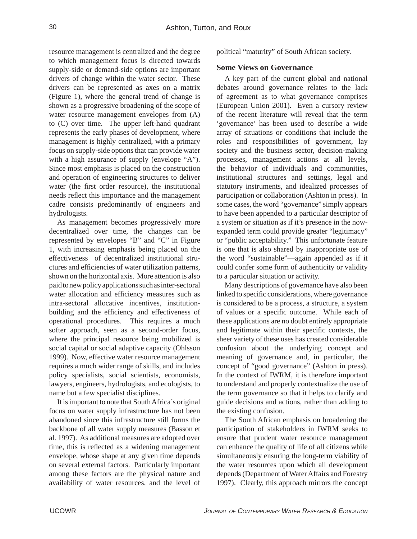resource management is centralized and the degree to which management focus is directed towards supply-side or demand-side options are important drivers of change within the water sector. These drivers can be represented as axes on a matrix (Figure 1), where the general trend of change is shown as a progressive broadening of the scope of water resource management envelopes from  $(A)$ to (C) over time. The upper left-hand quadrant represents the early phases of development, where management is highly centralized, with a primary focus on supply-side options that can provide water with a high assurance of supply (envelope "A"). Since most emphasis is placed on the construction and operation of engineering structures to deliver water (the first order resource), the institutional needs reflect this importance and the management cadre consists predominantly of engineers and hydrologists.

As management becomes progressively more decentralized over time, the changes can be represented by envelopes "B" and "C" in Figure 1, with increasing emphasis being placed on the effectiveness of decentralized institutional structures and efficiencies of water utilization patterns, shown on the horizontal axis. More attention is also paid to new policy applications such as inter-sectoral water allocation and efficiency measures such as intra-sectoral allocative incentives, institutionbuilding and the efficiency and effectiveness of operational procedures. This requires a much softer approach, seen as a second-order focus, where the principal resource being mobilized is social capital or social adaptive capacity (Ohlsson 1999). Now, effective water resource management requires a much wider range of skills, and includes policy specialists, social scientists, economists, lawyers, engineers, hydrologists, and ecologists, to name but a few specialist disciplines.

It is important to note that South Africa's original focus on water supply infrastructure has not been abandoned since this infrastructure still forms the backbone of all water supply measures (Basson et al. 1997). As additional measures are adopted over time, this is reflected as a widening management envelope, whose shape at any given time depends on several external factors. Particularly important among these factors are the physical nature and availability of water resources, and the level of

political "maturity" of South African society.

#### **Some Views on Governance**

A key part of the current global and national debates around governance relates to the lack of agreement as to what governance comprises (European Union 2001). Even a cursory review of the recent literature will reveal that the term 'governance' has been used to describe a wide array of situations or conditions that include the roles and responsibilities of government, lay society and the business sector, decision-making processes, management actions at all levels, the behavior of individuals and communities, institutional structures and settings, legal and statutory instruments, and idealized processes of participation or collaboration (Ashton in press). In some cases, the word "governance" simply appears to have been appended to a particular descriptor of a system or situation as if it's presence in the nowexpanded term could provide greater "legitimacy" or "public acceptability." This unfortunate feature is one that is also shared by inappropriate use of the word "sustainable"—again appended as if it could confer some form of authenticity or validity to a particular situation or activity.

Many descriptions of governance have also been linked to specific considerations, where governance is considered to be a process, a structure, a system of values or a specific outcome. While each of these applications are no doubt entirely appropriate and legitimate within their specific contexts, the sheer variety of these uses has created considerable confusion about the underlying concept and meaning of governance and, in particular, the concept of "good governance" (Ashton in press). In the context of IWRM, it is therefore important to understand and properly contextualize the use of the term governance so that it helps to clarify and guide decisions and actions, rather than adding to the existing confusion.

The South African emphasis on broadening the participation of stakeholders in IWRM seeks to ensure that prudent water resource management can enhance the quality of life of all citizens while simultaneously ensuring the long-term viability of the water resources upon which all development depends (Department of Water Affairs and Forestry 1997). Clearly, this approach mirrors the concept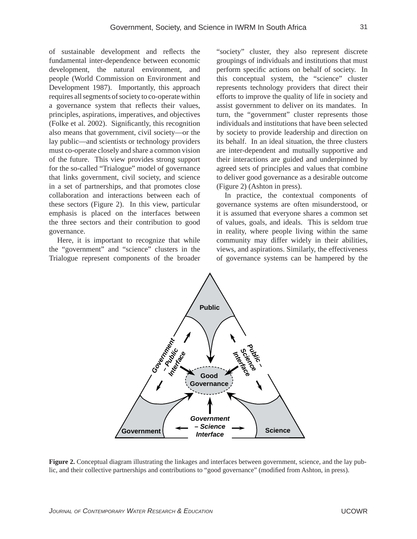of sustainable development and reflects the fundamental inter-dependence between economic development, the natural environment, and people (World Commission on Environment and Development 1987). Importantly, this approach requires all segments of society to co-operate within a governance system that reflects their values, principles, aspirations, imperatives, and objectives (Folke et al. 2002). Significantly, this recognition also means that government, civil society—or the lay public—and scientists or technology providers must co-operate closely and share a common vision of the future. This view provides strong support for the so-called "Trialogue" model of governance that links government, civil society, and science in a set of partnerships, and that promotes close collaboration and interactions between each of these sectors (Figure 2). In this view, particular emphasis is placed on the interfaces between the three sectors and their contribution to good governance.

Here, it is important to recognize that while the "government" and "science" clusters in the Trialogue represent components of the broader

"society" cluster, they also represent discrete groupings of individuals and institutions that must perform specific actions on behalf of society. In this conceptual system, the "science" cluster represents technology providers that direct their efforts to improve the quality of life in society and assist government to deliver on its mandates. In turn, the "government" cluster represents those individuals and institutions that have been selected by society to provide leadership and direction on its behalf. In an ideal situation, the three clusters are inter-dependent and mutually supportive and their interactions are guided and underpinned by agreed sets of principles and values that combine to deliver good governance as a desirable outcome (Figure 2) (Ashton in press).

In practice, the contextual components of governance systems are often misunderstood, or it is assumed that everyone shares a common set of values, goals, and ideals. This is seldom true in reality, where people living within the same community may differ widely in their abilities, views, and aspirations. Similarly, the effectiveness of governance systems can be hampered by the



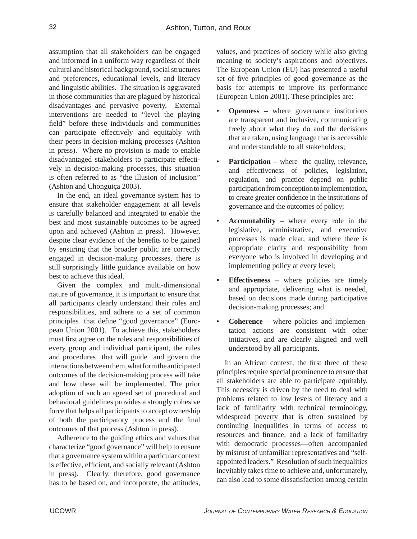assumption that all stakeholders can be engaged and informed in a uniform way regardless of their cultural and historical background, social structures and preferences, educational levels, and literacy and linguistic abilities. The situation is aggravated in those communities that are plagued by historical disadvantages and pervasive poverty. External interventions are needed to "level the playing field" before these individuals and communities can participate effectively and equitably with their peers in decision-making processes (Ashton in press). Where no provision is made to enable disadvantaged stakeholders to participate effectively in decision-making processes, this situation is often referred to as "the illusion of inclusion" (Ashton and Chonguiça 2003).

In the end, an ideal governance system has to ensure that stakeholder engagement at all levels is carefully balanced and integrated to enable the best and most sustainable outcomes to be agreed upon and achieved (Ashton in press). However, despite clear evidence of the benefits to be gained by ensuring that the broader public are correctly engaged in decision-making processes, there is still surprisingly little guidance available on how best to achieve this ideal.

Given the complex and multi-dimensional nature of governance, it is important to ensure that all participants clearly understand their roles and responsibilities, and adhere to a set of common principles that define "good governance" (European Union 2001). To achieve this, stakeholders must first agree on the roles and responsibilities of every group and individual participant, the rules and procedures that will guide and govern the interactions between them, what form the anticipated outcomes of the decision-making process will take and how these will be implemented. The prior adoption of such an agreed set of procedural and behavioral guidelines provides a strongly cohesive force that helps all participants to accept ownership of both the participatory process and the final outcomes of that process (Ashton in press).

Adherence to the guiding ethics and values that characterize "good governance" will help to ensure that a governance system within a particular context is effective, efficient, and socially relevant (Ashton) in press). Clearly, therefore, good governance has to be based on, and incorporate, the attitudes, values, and practices of society while also giving meaning to society's aspirations and objectives. The European Union (EU) has presented a useful set of five principles of good governance as the basis for attempts to improve its performance (European Union 2001). These principles are:

- **Openness** where governance institutions are transparent and inclusive, communicating freely about what they do and the decisions that are taken, using language that is accessible and understandable to all stakeholders; **•**
- **Participation** where the quality, relevance, and effectiveness of policies, legislation, regulation, and practice depend on public participation from conception to implementation, to create greater confidence in the institutions of governance and the outcomes of policy; **•**
- **Accountability**  where every role in the legislative, administrative, and executive processes is made clear, and where there is appropriate clarity and responsibility from everyone who is involved in developing and implementing policy at every level; **•**
- **Effectiveness**  where policies are timely and appropriate, delivering what is needed, based on decisions made during participative decision-making processes; and **•**
- **Coherence** where policies and implementation actions are consistent with other initiatives, and are clearly aligned and well understood by all participants. **•**

In an African context, the first three of these principles require special prominence to ensure that all stakeholders are able to participate equitably. This necessity is driven by the need to deal with problems related to low levels of literacy and a lack of familiarity with technical terminology, widespread poverty that is often sustained by continuing inequalities in terms of access to resources and finance, and a lack of familiarity with democratic processes—often accompanied by mistrust of unfamiliar representatives and "selfappointed leaders." Resolution of such inequalities inevitably takes time to achieve and, unfortunately, can also lead to some dissatisfaction among certain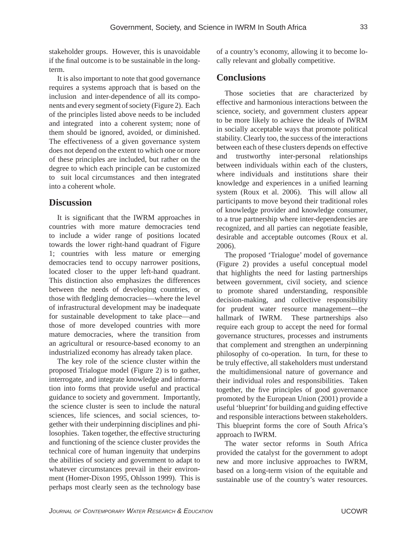stakeholder groups. However, this is unavoidable if the final outcome is to be sustainable in the longterm.

It is also important to note that good governance requires a systems approach that is based on the inclusion and inter-dependence of all its components and every segment of society (Figure 2). Each of the principles listed above needs to be included and integrated into a coherent system; none of them should be ignored, avoided, or diminished. The effectiveness of a given governance system does not depend on the extent to which one or more of these principles are included, but rather on the degree to which each principle can be customized to suit local circumstances and then integrated into a coherent whole.

#### **Discussion**

It is significant that the IWRM approaches in countries with more mature democracies tend to include a wider range of positions located towards the lower right-hand quadrant of Figure 1; countries with less mature or emerging democracies tend to occupy narrower positions, located closer to the upper left-hand quadrant. This distinction also emphasizes the differences between the needs of developing countries, or those with fledgling democracies—where the level of infrastructural development may be inadequate for sustainable development to take place—and those of more developed countries with more mature democracies, where the transition from an agricultural or resource-based economy to an industrialized economy has already taken place.

The key role of the science cluster within the proposed Trialogue model (Figure 2) is to gather, interrogate, and integrate knowledge and information into forms that provide useful and practical guidance to society and government. Importantly, the science cluster is seen to include the natural sciences, life sciences, and social sciences, together with their underpinning disciplines and philosophies. Taken together, the effective structuring and functioning of the science cluster provides the technical core of human ingenuity that underpins the abilities of society and government to adapt to whatever circumstances prevail in their environment (Homer-Dixon 1995, Ohlsson 1999). This is perhaps most clearly seen as the technology base

of a country's economy, allowing it to become locally relevant and globally competitive.

## **Conclusions**

Those societies that are characterized by effective and harmonious interactions between the science, society, and government clusters appear to be more likely to achieve the ideals of IWRM in socially acceptable ways that promote political stability. Clearly too, the success of the interactions between each of these clusters depends on effective and trustworthy inter-personal relationships between individuals within each of the clusters, where individuals and institutions share their knowledge and experiences in a unified learning system (Roux et al. 2006). This will allow all participants to move beyond their traditional roles of knowledge provider and knowledge consumer, to a true partnership where inter-dependencies are recognized, and all parties can negotiate feasible, desirable and acceptable outcomes (Roux et al. 2006).

The proposed 'Trialogue' model of governance (Figure 2) provides a useful conceptual model that highlights the need for lasting partnerships between government, civil society, and science to promote shared understanding, responsible decision-making, and collective responsibility for prudent water resource management—the hallmark of IWRM. These partnerships also require each group to accept the need for formal governance structures, processes and instruments that complement and strengthen an underpinning philosophy of co-operation. In turn, for these to be truly effective, all stakeholders must understand the multidimensional nature of governance and their individual roles and responsibilities. Taken together, the five principles of good governance promoted by the European Union (2001) provide a useful 'blueprint' for building and guiding effective and responsible interactions between stakeholders. This blueprint forms the core of South Africa's approach to IWRM.

The water sector reforms in South Africa provided the catalyst for the government to adopt new and more inclusive approaches to IWRM, based on a long-term vision of the equitable and sustainable use of the country's water resources.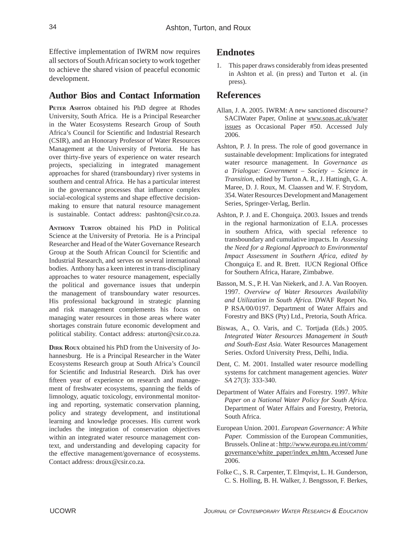Effective implementation of IWRM now requires all sectors of South African society to work together to achieve the shared vision of peaceful economic development.

## **Author Bios and Contact Information**

PETER ASHTON obtained his PhD degree at Rhodes University, South Africa. He is a Principal Researcher in the Water Ecosystems Research Group of South Africa's Council for Scientific and Industrial Research (CSIR), and an Honorary Professor of Water Resources Management at the University of Pretoria. He has over thirty-five years of experience on water research projects, specializing in integrated management approaches for shared (transboundary) river systems in southern and central Africa. He has a particular interest in the governance processes that influence complex social-ecological systems and shape effective decisionmaking to ensure that natural resource management is sustainable. Contact address: pashton@csir.co.za.

**ANTHONY TURTON** obtained his PhD in Political Science at the University of Pretoria. He is a Principal Researcher and Head of the Water Governance Research Group at the South African Council for Scientific and Industrial Research, and serves on several international bodies. Anthony has a keen interest in trans-disciplinary approaches to water resource management, especially the political and governance issues that underpin the management of transboundary water resources. His professional background in strategic planning and risk management complements his focus on managing water resources in those areas where water shortages constrain future economic development and political stability. Contact address: aturton@csir.co.za.

**DIRK ROUX** obtained his PhD from the University of Johannesburg. He is a Principal Researcher in the Water Ecosystems Research group at South Africa's Council for Scientific and Industrial Research. Dirk has over fifteen year of experience on research and management of freshwater ecosystems, spanning the fields of limnology, aquatic toxicology, environmental monitoring and reporting, systematic conservation planning, policy and strategy development, and institutional learning and knowledge processes. His current work includes the integration of conservation objectives within an integrated water resource management context, and understanding and developing capacity for the effective management/governance of ecosystems. Contact address: droux@csir.co.za.

#### **Endnotes**

This paper draws considerably from ideas presented in Ashton et al. (in press) and Turton et al. (in press). 1.

# **References**

- Allan, J. A. 2005. IWRM: A new sanctioned discourse? SACIWater Paper, Online at www.soas.ac.uk/water issues as Occasional Paper #50. Accessed July 2006.
- Ashton, P. J. In press. The role of good governance in sustainable development: Implications for integrated water resource management. In *Governance as a Trialogue: Government – Society – Science in Transition,* edited by Turton A. R., J. Hattingh, G. A. Maree, D. J. Roux, M. Claassen and W. F. Strydom, 354. Water Resources Development and Management Series, Springer-Verlag, Berlin.
- Ashton, P. J. and E. Chonguiça. 2003. Issues and trends in the regional harmonization of E.I.A. processes in southern Africa, with special reference to transboundary and cumulative impacts. In *Assessing the Need for a Regional Approach to Environmental Impact Assessment in Southern Africa, edited by*  Chonguiça E. and R. Brett. IUCN Regional Office for Southern Africa, Harare, Zimbabwe.
- Basson, M. S., P. H. Van Niekerk, and J. A. Van Rooyen. 1997. *Overview of Water Resources Availability and Utilization in South Africa.* DWAF Report No. P RSA/00/0197. Department of Water Affairs and Forestry and BKS (Pty) Ltd., Pretoria, South Africa.
- Biswas, A., O. Varis, and C. Tortjada (Eds.) 2005. *Integrated Water Resources Management in South and South-East Asia.* Water Resources Management Series. Oxford University Press, Delhi, India.
- Dent, C. M. 2001. Installed water resource modelling systems for catchment management agencies. *Water SA* 27(3): 333-340.
- Department of Water Affairs and Forestry. 1997. *White Paper on a National Water Policy for South Africa.*  Department of Water Affairs and Forestry, Pretoria, South Africa.
- European Union. 2001. *European Governance: A White Paper.* Commission of the European Communities, Brussels. Online at : http://www.europa.eu.int/comm/ governance/white\_paper/index\_en.htm. Accessed June 2006.
- Folke C., S. R. Carpenter, T. Elmqvist, L. H. Gunderson, C. S. Holling, B. H. Walker, J. Bengtsson, F. Berkes,